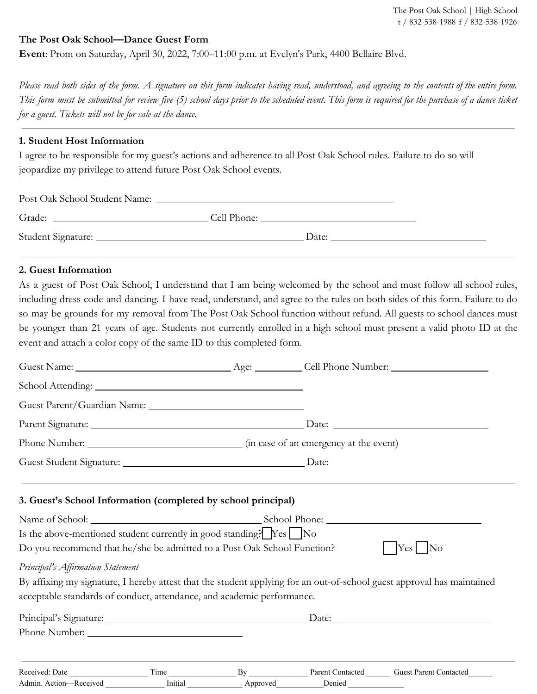# **The Post Oak School—Dance Guest Form**

**Event**: Prom on Saturday, April 30, 2022, 7:00–11:00 p.m. at Evelyn's Park, 4400 Bellaire Blvd.

Please read both sides of the form. A signature on this form indicates having read, understood, and agreeing to the contents of the entire form. *This form must be submitted for review five (5) school days prior to the scheduled event. This form is required for the purchase of a dance ticket for a guest. Tickets will not be for sale at the dance.* 

### **1. Student Host Information**

I agree to be responsible for my guest's actions and adherence to all Post Oak School rules. Failure to do so will jeopardize my privilege to attend future Post Oak School events.

| Post Oak School Student Name: |             |  |
|-------------------------------|-------------|--|
| Grade:                        | Cell Phone: |  |
|                               | Date:       |  |

## **2. Guest Information**

As a guest of Post Oak School, I understand that I am being welcomed by the school and must follow all school rules, including dress code and dancing. I have read, understand, and agree to the rules on both sides of this form. Failure to do so may be grounds for my removal from The Post Oak School function without refund. All guests to school dances must be younger than 21 years of age. Students not currently enrolled in a high school must present a valid photo ID at the event and attach a color copy of the same ID to this completed form.

| 3. Guest's School Information (completed by school principal)                                                                                                                     |      |    |                         |                                                                                                                        |  |
|-----------------------------------------------------------------------------------------------------------------------------------------------------------------------------------|------|----|-------------------------|------------------------------------------------------------------------------------------------------------------------|--|
|                                                                                                                                                                                   |      |    |                         |                                                                                                                        |  |
| Is the above-mentioned student currently in good standing? $\left  \right $ $\left  \right $ $\left  \right $ $\left  \right $ $\left  \right $ $\left  \right $ $\left  \right $ |      |    |                         |                                                                                                                        |  |
| Do you recommend that he/she be admitted to a Post Oak School Function?                                                                                                           |      |    |                         | $\left  \text{Yes} \right $ No                                                                                         |  |
| Principal's Affirmation Statement                                                                                                                                                 |      |    |                         |                                                                                                                        |  |
|                                                                                                                                                                                   |      |    |                         | By affixing my signature, I hereby attest that the student applying for an out-of-school guest approval has maintained |  |
| acceptable standards of conduct, attendance, and academic performance.                                                                                                            |      |    |                         |                                                                                                                        |  |
|                                                                                                                                                                                   |      |    |                         |                                                                                                                        |  |
|                                                                                                                                                                                   |      |    |                         |                                                                                                                        |  |
| Received: Date                                                                                                                                                                    | Time | By | <b>Parent Contacted</b> | <b>Guest Parent Contacted</b>                                                                                          |  |

Admin. Action—Received Limitial Approved Denied